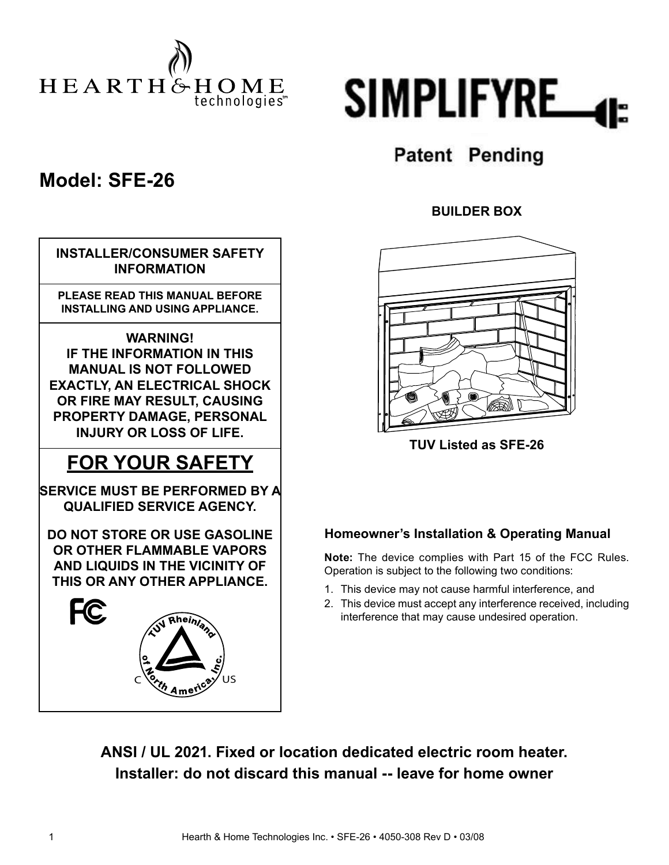



### **Model: SFE-26**

## $C \begin{matrix} 6 \\ 2 \end{matrix}$   $\begin{matrix} 2 \end{matrix}$  US **INSTALLER/CONSUMER SAFETY INFORMATION PLEASE READ THIS MANUAL BEFORE INSTALLING AND USING APPLIANCE. WARNING! IF THE INFORMATION IN THIS MANUAL IS NOT FOLLOWED EXACTLY, AN ELECTRICAL SHOCK OR FIRE MAY RESULT, CAUSING PROPERTY DAMAGE, PERSONAL INJURY OR LOSS OF LIFE. FOR YOUR SAFETY DO NOT STORE OR USE GASOLINE OR OTHER FLAMMABLE VAPORS AND LIQUIDS IN THE VICINITY OF THIS OR ANY OTHER APPLIANCE. SERVICE MUST BE PERFORMED BY A QUALIFIED SERVICE AGENCY.**

## **Patent Pending**

#### **BUILDER BOX**



**TUV Listed as SFE-26**

#### **Homeowner's Installation & Operating Manual**

**Note:** The device complies with Part 15 of the FCC Rules. Operation is subject to the following two conditions:

- 1. This device may not cause harmful interference, and
- 2. This device must accept any interference received, including interference that may cause undesired operation.

**ANSI / UL 2021. Fixed or location dedicated electric room heater. Installer: do not discard this manual -- leave for home owner**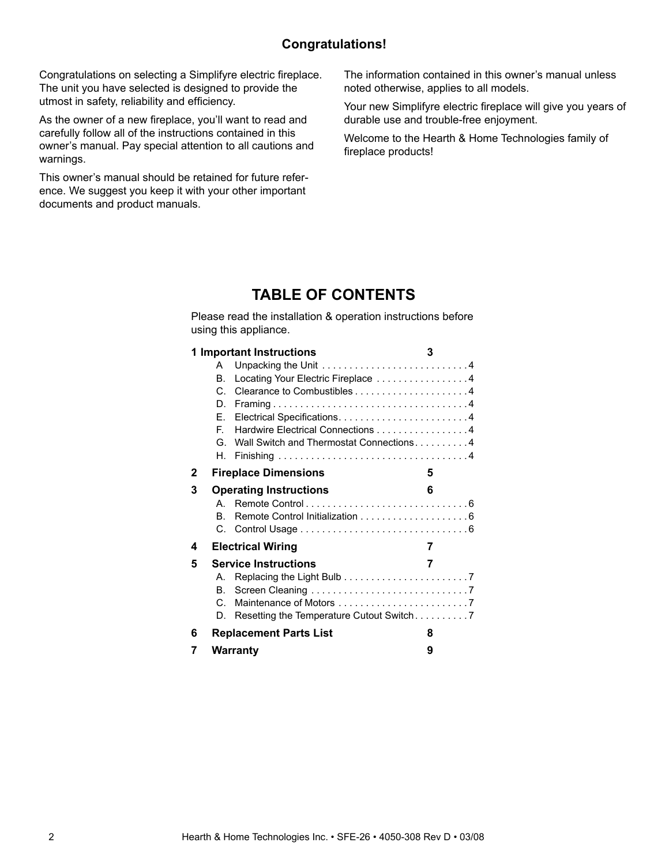#### **Congratulations!**

Congratulations on selecting a Simplifyre electric fireplace. The unit you have selected is designed to provide the utmost in safety, reliability and efficiency.

As the owner of a new fireplace, you'll want to read and carefully follow all of the instructions contained in this owner's manual. Pay special attention to all cautions and warnings.

This owner's manual should be retained for future reference. We suggest you keep it with your other important documents and product manuals.

The information contained in this owner's manual unless noted otherwise, applies to all models.

Your new Simplifyre electric fireplace will give you years of durable use and trouble-free enjoyment.

Welcome to the Hearth & Home Technologies family of fireplace products!

#### **TABLE OF CONTENTS**

Please read the installation & operation instructions before using this appliance.

|   |    | 1 Important Instructions                | 3 |
|---|----|-----------------------------------------|---|
|   | A  |                                         |   |
|   | В. | Locating Your Electric Fireplace 4      |   |
|   | C. |                                         |   |
|   | D. |                                         |   |
|   | F. |                                         |   |
|   | F. | Hardwire Electrical Connections 4       |   |
|   | G. | Wall Switch and Thermostat Connections4 |   |
|   | Н. |                                         |   |
| 2 |    | <b>Fireplace Dimensions</b>             | 5 |
| 3 |    | <b>Operating Instructions</b>           | 6 |
|   |    |                                         |   |
|   | B. |                                         |   |
|   | C. |                                         |   |
| 4 |    | <b>Electrical Wiring</b>                | 7 |
| 5 |    | <b>Service Instructions</b>             | 7 |
|   | A. |                                         |   |
|   | В. |                                         |   |
|   | C. |                                         |   |
|   | D. |                                         |   |
| 6 |    | Replacement Parts List                  | 8 |
| 7 |    | Warranty                                | 9 |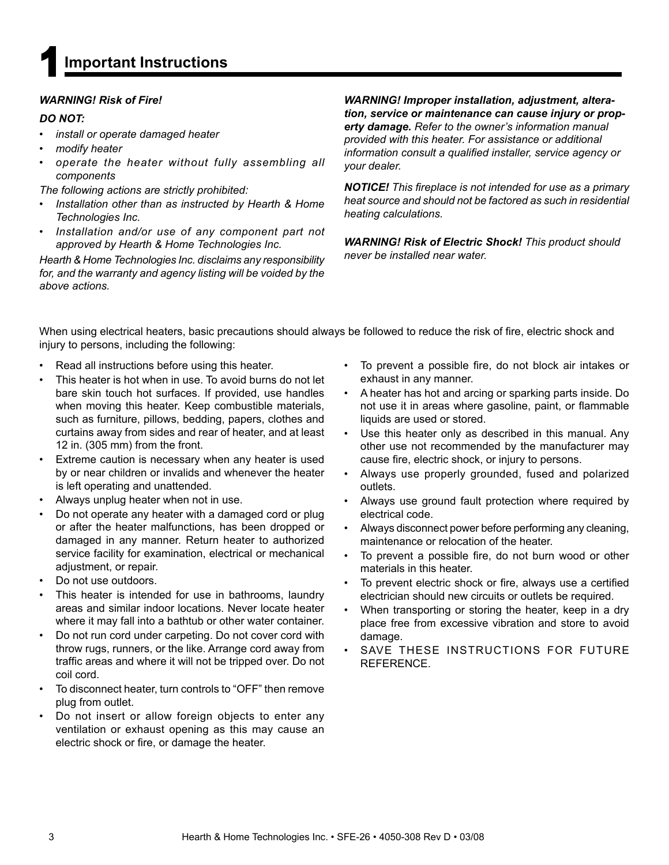

#### *WARNING! Risk of Fire!*

#### *DO NOT:*

- *ï install or operate damaged heater*
- *ï modify heater*
- *ï operate the heater without fully assembling all components*

*The following actions are strictly prohibited:*

- *ï Installation other than as instructed by Hearth & Home Technologies Inc.*
- *ï Installation and/or use of any component part not approved by Hearth & Home Technologies Inc.*

*Hearth & Home Technologies Inc. disclaims any responsibility for, and the warranty and agency listing will be voided by the above actions.*

*WARNING! Improper installation, adjustment, alteration, service or maintenance can cause injury or property damage. Refer to the owner's information manual provided with this heater. For assistance or additional information consult a qualified installer, service agency or your dealer.*

*NOTICE! This fi replace is not intended for use as a primary heat source and should not be factored as such in residential heating calculations.*

*WARNING! Risk of Electric Shock! This product should never be installed near water.*

When using electrical heaters, basic precautions should always be followed to reduce the risk of fire, electric shock and injury to persons, including the following:

- Read all instructions before using this heater.
- This heater is hot when in use. To avoid burns do not let bare skin touch hot surfaces. If provided, use handles when moving this heater. Keep combustible materials, such as furniture, pillows, bedding, papers, clothes and curtains away from sides and rear of heater, and at least 12 in. (305 mm) from the front.
- Extreme caution is necessary when any heater is used by or near children or invalids and whenever the heater is left operating and unattended.
- Always unplug heater when not in use.
- Do not operate any heater with a damaged cord or plug or after the heater malfunctions, has been dropped or damaged in any manner. Return heater to authorized service facility for examination, electrical or mechanical adjustment, or repair.
- Do not use outdoors.
- This heater is intended for use in bathrooms, laundry areas and similar indoor locations. Never locate heater where it may fall into a bathtub or other water container.
- Do not run cord under carpeting. Do not cover cord with throw rugs, runners, or the like. Arrange cord away from traffic areas and where it will not be tripped over. Do not coil cord.
- To disconnect heater, turn controls to "OFF" then remove plug from outlet.
- Do not insert or allow foreign objects to enter any ventilation or exhaust opening as this may cause an electric shock or fire, or damage the heater.
- To prevent a possible fire, do not block air intakes or exhaust in any manner.
- A heater has hot and arcing or sparking parts inside. Do not use it in areas where gasoline, paint, or flammable liquids are used or stored.
- Use this heater only as described in this manual. Any other use not recommended by the manufacturer may cause fire, electric shock, or injury to persons.
- Always use properly grounded, fused and polarized outlets.
- Always use ground fault protection where required by electrical code.
- Always disconnect power before performing any cleaning, maintenance or relocation of the heater.
- To prevent a possible fire, do not burn wood or other materials in this heater.
- To prevent electric shock or fire, always use a certified electrician should new circuits or outlets be required.
- When transporting or storing the heater, keep in a dry place free from excessive vibration and store to avoid damage.
- SAVE THESE INSTRUCTIONS FOR FUTURE REFERENCE.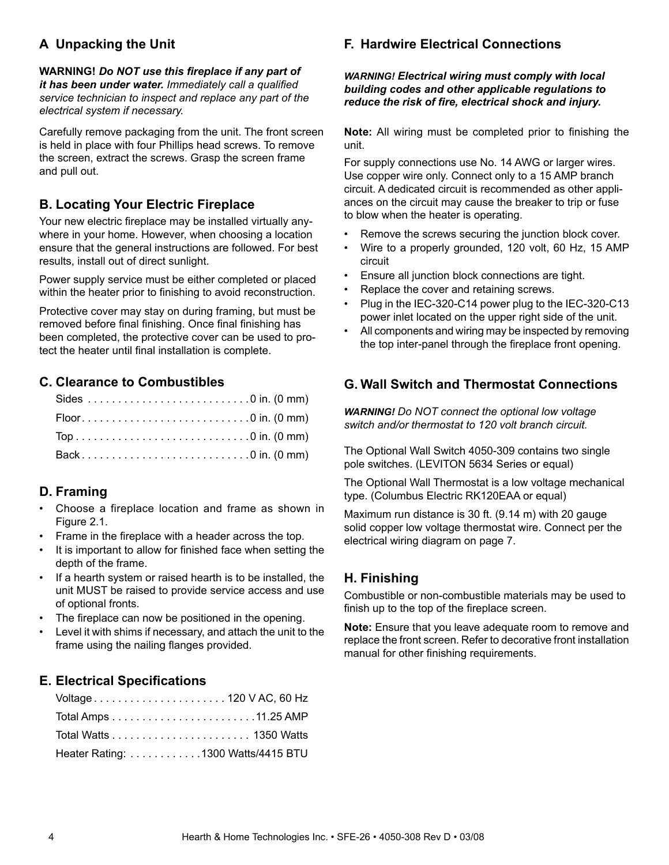#### **A Unpacking the Unit**

**WARNING!** *Do NOT use this fi replace if any part of it has been under water. Immediately call a qualified service technician to inspect and replace any part of the electrical system if necessary.*

Carefully remove packaging from the unit. The front screen is held in place with four Phillips head screws. To remove the screen, extract the screws. Grasp the screen frame and pull out.

#### **B. Locating Your Electric Fireplace**

Your new electric fireplace may be installed virtually anywhere in your home. However, when choosing a location ensure that the general instructions are followed. For best results, install out of direct sunlight.

Power supply service must be either completed or placed within the heater prior to finishing to avoid reconstruction.

Protective cover may stay on during framing, but must be removed before final finishing. Once final finishing has been completed, the protective cover can be used to protect the heater until final installation is complete.

#### **C. Clearance to Combustibles**

| Back0 in. (0 mm) |  |
|------------------|--|

#### **D. Framing**

- Choose a fireplace location and frame as shown in Figure 2.1.
- Frame in the fireplace with a header across the top.
- It is important to allow for finished face when setting the depth of the frame.
- If a hearth system or raised hearth is to be installed, the unit MUST be raised to provide service access and use of optional fronts.
- The fireplace can now be positioned in the opening.
- Level it with shims if necessary, and attach the unit to the frame using the nailing flanges provided.

#### **E. Electrical Specifi cations**

| Voltage 120 V AC, 60 Hz            |  |
|------------------------------------|--|
|                                    |  |
|                                    |  |
| Heater Rating: 1300 Watts/4415 BTU |  |

#### **F. Hardwire Electrical Connections**

*WARNING! Electrical wiring must comply with local building codes and other applicable regulations to reduce the risk of fire, electrical shock and injury.* 

**Note:** All wiring must be completed prior to finishing the unit.

For supply connections use No. 14 AWG or larger wires. Use copper wire only. Connect only to a 15 AMP branch circuit. A dedicated circuit is recommended as other appliances on the circuit may cause the breaker to trip or fuse to blow when the heater is operating.

- Remove the screws securing the junction block cover.
- Wire to a properly grounded, 120 volt, 60 Hz, 15 AMP circuit
- Ensure all junction block connections are tight.
- Replace the cover and retaining screws.
- Plug in the IEC-320-C14 power plug to the IEC-320-C13 power inlet located on the upper right side of the unit.
- All components and wiring may be inspected by removing the top inter-panel through the fireplace front opening.

#### **G. Wall Switch and Thermostat Connections**

*WARNING! Do NOT connect the optional low voltage switch and/or thermostat to 120 volt branch circuit.*

The Optional Wall Switch 4050-309 contains two single pole switches. (LEVITON 5634 Series or equal)

The Optional Wall Thermostat is a low voltage mechanical type. (Columbus Electric RK120EAA or equal)

Maximum run distance is 30 ft. (9.14 m) with 20 gauge solid copper low voltage thermostat wire. Connect per the electrical wiring diagram on page 7.

#### **H. Finishing**

Combustible or non-combustible materials may be used to finish up to the top of the fireplace screen.

**Note:** Ensure that you leave adequate room to remove and replace the front screen. Refer to decorative front installation manual for other finishing requirements.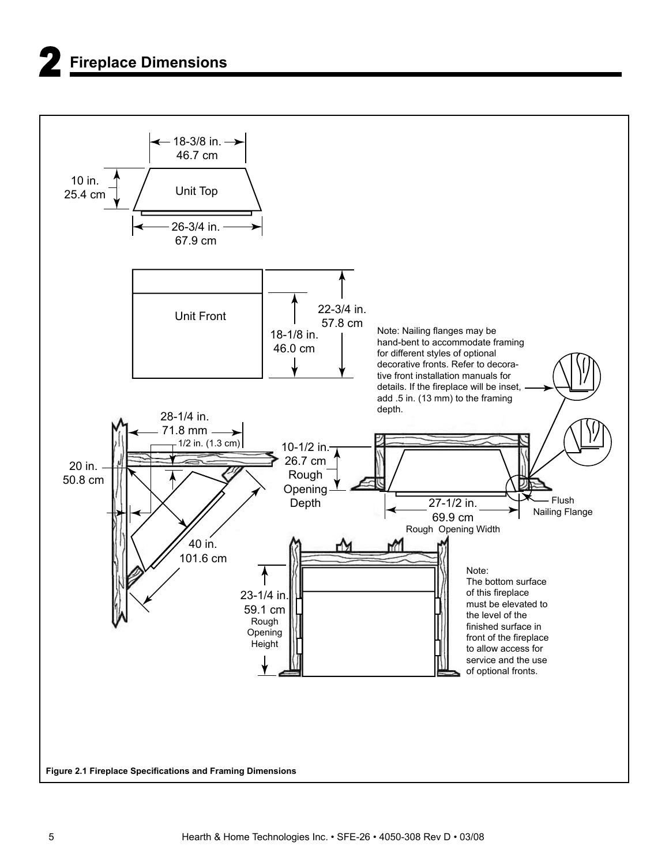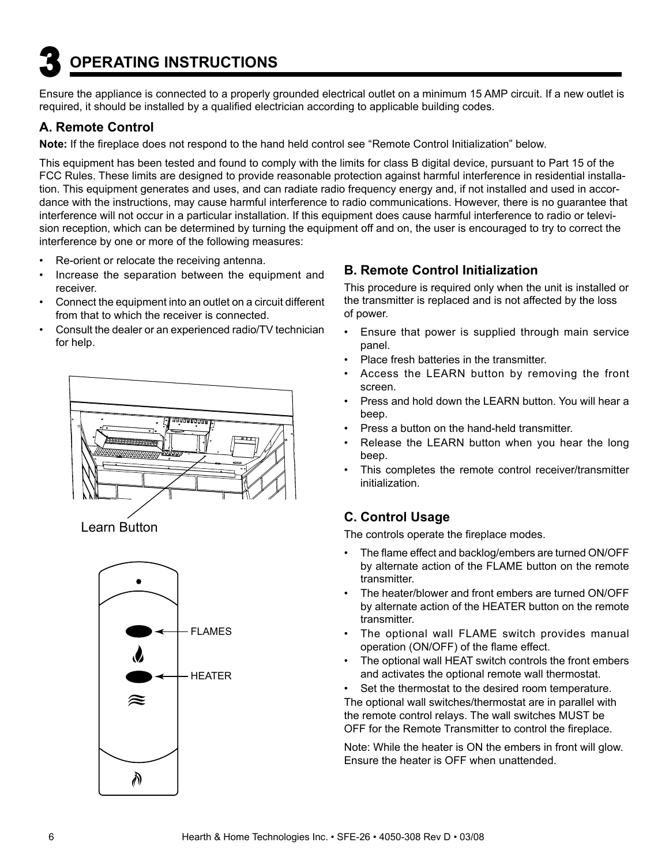# **3 OPERATING INSTRUCTIONS**

Ensure the appliance is connected to a properly grounded electrical outlet on a minimum 15 AMP circuit. If a new outlet is required, it should be installed by a qualified electrician according to applicable building codes.

#### **A. Remote Control**

Note: If the fireplace does not respond to the hand held control see "Remote Control Initialization" below.

This equipment has been tested and found to comply with the limits for class B digital device, pursuant to Part 15 of the FCC Rules. These limits are designed to provide reasonable protection against harmful interference in residential installation. This equipment generates and uses, and can radiate radio frequency energy and, if not installed and used in accordance with the instructions, may cause harmful interference to radio communications. However, there is no guarantee that interference will not occur in a particular installation. If this equipment does cause harmful interference to radio or television reception, which can be determined by turning the equipment off and on, the user is encouraged to try to correct the interference by one or more of the following measures:

- Re-orient or relocate the receiving antenna.
- Increase the separation between the equipment and receiver.
- Connect the equipment into an outlet on a circuit different from that to which the receiver is connected.
- Consult the dealer or an experienced radio/TV technician for help.



Learn Button



#### **B. Remote Control Initialization**

This procedure is required only when the unit is installed or the transmitter is replaced and is not affected by the loss of power.

- Ensure that power is supplied through main service panel.
- Place fresh batteries in the transmitter.
- Access the LEARN button by removing the front screen.
- Press and hold down the LEARN button. You will hear a beep.
- Press a button on the hand-held transmitter.
- Release the LEARN button when you hear the long beep.
- This completes the remote control receiver/transmitter initialization.

#### **C. Control Usage**

The controls operate the fireplace modes.

- The flame effect and backlog/embers are turned ON/OFF by alternate action of the FLAME button on the remote transmitter.
- The heater/blower and front embers are turned ON/OFF by alternate action of the HEATER button on the remote transmitter.
- The optional wall FLAME switch provides manual operation (ON/OFF) of the flame effect.
- The optional wall HEAT switch controls the front embers and activates the optional remote wall thermostat.

Set the thermostat to the desired room temperature. The optional wall switches/thermostat are in parallel with the remote control relays. The wall switches MUST be OFF for the Remote Transmitter to control the fireplace.

Note: While the heater is ON the embers in front will glow. Ensure the heater is OFF when unattended.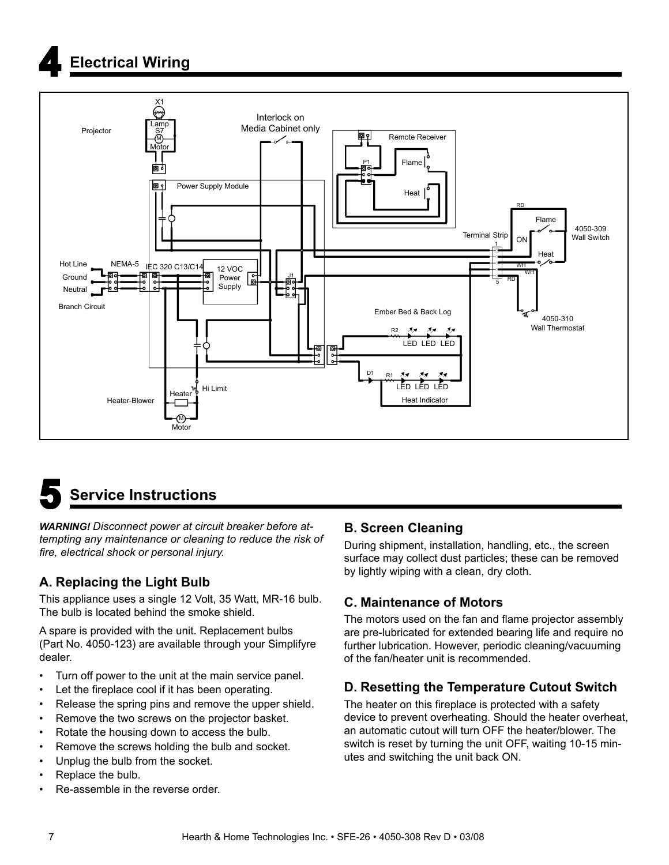# **4 Electrical Wiring**





*WARNING! Disconnect power at circuit breaker before attempting any maintenance or cleaning to reduce the risk of fi re, electrical shock or personal injury.*

#### **A. Replacing the Light Bulb**

This appliance uses a single 12 Volt, 35 Watt, MR-16 bulb. The bulb is located behind the smoke shield.

A spare is provided with the unit. Replacement bulbs (Part No. 4050-123) are available through your Simplifyre dealer.

- Turn off power to the unit at the main service panel.
- Let the fireplace cool if it has been operating.
- Release the spring pins and remove the upper shield.
- Remove the two screws on the projector basket.
- Rotate the housing down to access the bulb.
- Remove the screws holding the bulb and socket.
- Unplug the bulb from the socket.
- Replace the bulb.
- Re-assemble in the reverse order.

#### **B. Screen Cleaning**

During shipment, installation, handling, etc., the screen surface may collect dust particles; these can be removed by lightly wiping with a clean, dry cloth.

#### **C. Maintenance of Motors**

The motors used on the fan and flame projector assembly are pre-lubricated for extended bearing life and require no further lubrication. However, periodic cleaning/vacuuming of the fan/heater unit is recommended.

#### **D. Resetting the Temperature Cutout Switch**

The heater on this fireplace is protected with a safety device to prevent overheating. Should the heater overheat, an automatic cutout will turn OFF the heater/blower. The switch is reset by turning the unit OFF, waiting 10-15 minutes and switching the unit back ON.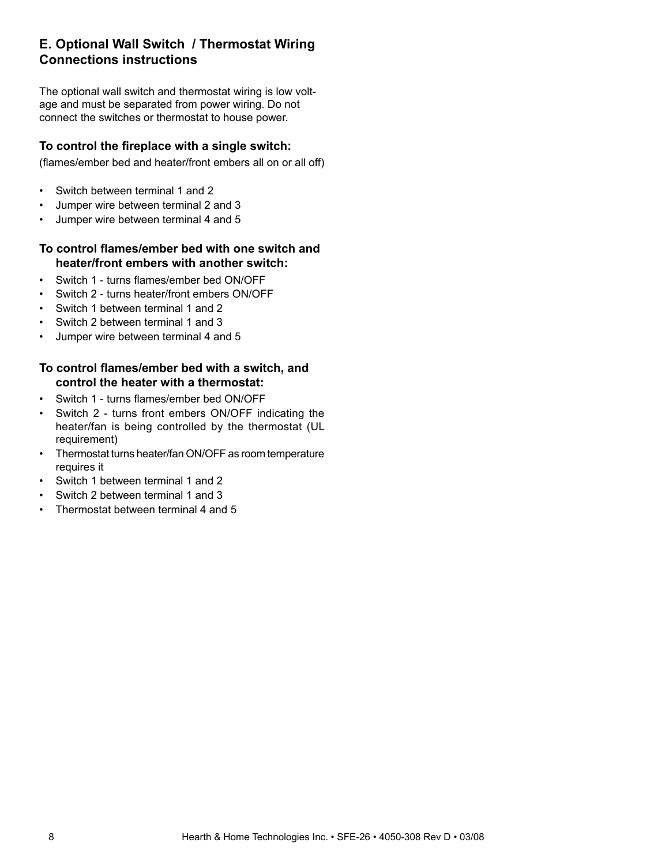#### **E. Optional Wall Switch / Thermostat Wiring Connections instructions**

The optional wall switch and thermostat wiring is low voltage and must be separated from power wiring. Do not connect the switches or thermostat to house power.

#### **To control the fi replace with a single switch:**

(flames/ember bed and heater/front embers all on or all off)

- Switch between terminal 1 and 2
- Jumper wire between terminal 2 and 3
- Jumper wire between terminal 4 and 5

#### **To control fl ames/ember bed with one switch and heater/front embers with another switch:**

- Switch 1 turns flames/ember bed ON/OFF
- Switch 2 turns heater/front embers ON/OFF
- Switch 1 between terminal 1 and 2
- Switch 2 between terminal 1 and 3
- Jumper wire between terminal 4 and 5

#### **To control fl ames/ember bed with a switch, and control the heater with a thermostat:**

- Switch 1 turns flames/ember bed ON/OFF
- Switch 2 turns front embers ON/OFF indicating the heater/fan is being controlled by the thermostat (UL requirement)
- Thermostat turns heater/fan ON/OFF as room temperature requires it
- Switch 1 between terminal 1 and 2
- Switch 2 between terminal 1 and 3
- $\cdot$  Thermostat between terminal 4 and 5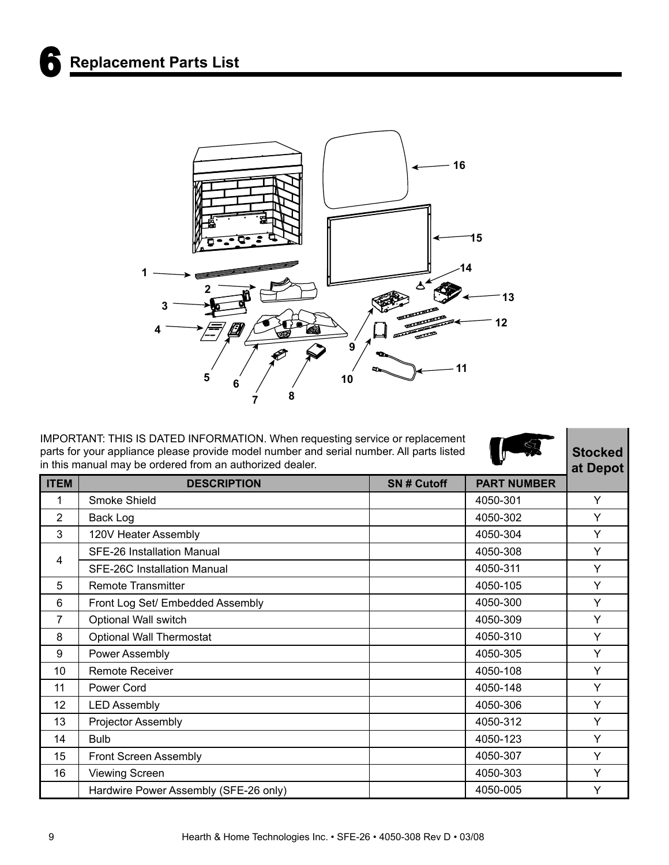

IMPORTANT: THIS IS DATED INFORMATION. When requesting service or replacement parts for your appliance please provide model number and serial number. All parts listed in this manual may be ordered from an authorized dealer.



**Stocked at Depot**

| <b>ITEM</b>     | <b>DESCRIPTION</b>                    | <b>SN#Cutoff</b> | <b>PART NUMBER</b> | u, popol |
|-----------------|---------------------------------------|------------------|--------------------|----------|
| 1               | Smoke Shield                          |                  | 4050-301           | Y        |
| $\overline{2}$  | Back Log                              |                  | 4050-302           | Y        |
| 3               | 120V Heater Assembly                  |                  | 4050-304           | Y        |
| 4               | <b>SFE-26 Installation Manual</b>     |                  | 4050-308           | Y        |
|                 | SFE-26C Installation Manual           |                  | 4050-311           | Y        |
| 5               | <b>Remote Transmitter</b>             |                  | 4050-105           | Y        |
| 6               | Front Log Set/ Embedded Assembly      |                  | 4050-300           | Y        |
| 7               | Optional Wall switch                  |                  | 4050-309           | Y        |
| 8               | <b>Optional Wall Thermostat</b>       |                  | 4050-310           | Y        |
| 9               | Power Assembly                        |                  | 4050-305           | Y        |
| 10 <sup>°</sup> | <b>Remote Receiver</b>                |                  | 4050-108           | Y        |
| 11              | Power Cord                            |                  | 4050-148           | Y        |
| 12              | <b>LED Assembly</b>                   |                  | 4050-306           | Y        |
| 13              | Projector Assembly                    |                  | 4050-312           | Y        |
| 14              | <b>Bulb</b>                           |                  | 4050-123           | Y        |
| 15              | <b>Front Screen Assembly</b>          |                  | 4050-307           | Y        |
| 16              | <b>Viewing Screen</b>                 |                  | 4050-303           | Y        |
|                 | Hardwire Power Assembly (SFE-26 only) |                  | 4050-005           | Y        |